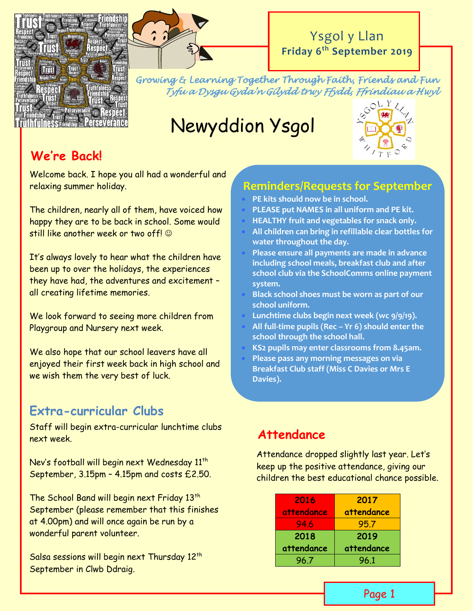



# Ysgol y Llan **Friday 6 th September 2019**

*Growing & Learning Together Through Faith, Friends and Fun Tyfu a Dysgu Gyda'n Gilydd trwy Ffydd, Ffrindiau a Hwyl* 

# Newyddion Ysgol



# **We're Back!**

Welcome back. I hope you all had a wonderful and relaxing summer holiday.

The children, nearly all of them, have voiced how happy they are to be back in school. Some would still like another week or two off!  $\odot$ 

It's always lovely to hear what the children have been up to over the holidays, the experiences they have had, the adventures and excitement – all creating lifetime memories.

We look forward to seeing more children from Playgroup and Nursery next week.

We also hope that our school leavers have all enjoyed their first week back in high school and we wish them the very best of luck.

# **Extra-curricular Clubs**

Staff will begin extra-curricular lunchtime clubs next week.

Nev's football will begin next Wednesday 11<sup>th</sup> September, 3.15pm – 4.15pm and costs £2.50.

The School Band will begin next Friday 13<sup>th</sup> September (please remember that this finishes at 4.00pm) and will once again be run by a wonderful parent volunteer.

Salsa sessions will begin next Thursday 12<sup>th</sup> September in Clwb Ddraig.

#### **Reminders/Requests for September**

- **PE kits should now be in school.**
- **PLEASE put NAMES in all uniform and PE kit.**
- **HEALTHY fruit and vegetables for snack only.**
- **All children can bring in refillable clear bottles for water throughout the day.**
- **Please ensure all payments are made in advance including school meals, breakfast club and after school club via the SchoolComms online payment system.**
- **Black school shoes must be worn as part of our school uniform.**
- **Lunchtime clubs begin next week (wc 9/9/19).**
- **All full-time pupils (Rec – Yr 6) should enter the school through the school hall.**
- **KS2 pupils may enter classrooms from 8.45am.**
- **Please pass any morning messages on via Breakfast Club staff (Miss C Davies or Mrs E Davies).**

# **Attendance**

Attendance dropped slightly last year. Let's keep up the positive attendance, giving our children the best educational chance possible.

| 2016       | 2017       |  |
|------------|------------|--|
| attendance | attendance |  |
| 94.6       | 95.7       |  |
| 2018       | 2019       |  |
| attendance | attendance |  |
| 96.7       | 96.1       |  |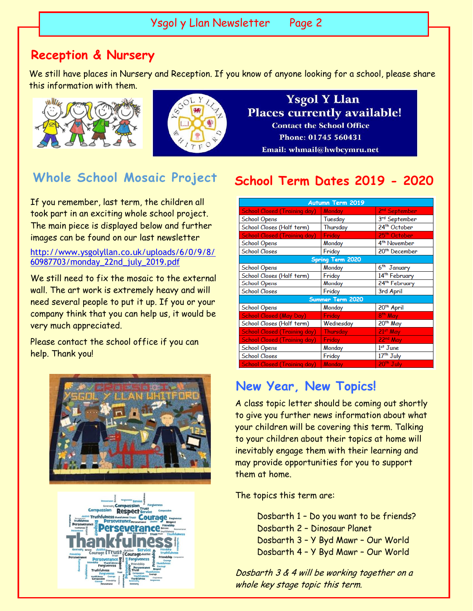#### Ysgol y Llan Newsletter Page 2

#### **Reception & Nursery**

We still have places in Nursery and Reception. If you know of anyone looking for a school, please share this information with them.





**Ysgol Y Llan Places currently available! Contact the School Office** Phone: 01745 560431 Email: whmail@hwbcymru.net

If you remember, last term, the children all took part in an exciting whole school project. The main piece is displayed below and further images can be found on our last newsletter

#### [http://www.ysgolyllan.co.uk/uploads/6/0/9/8/](http://www.ysgolyllan.co.uk/uploads/6/0/9/8/60987703/monday_22nd_july_2019.pdf) [60987703/monday\\_22nd\\_july\\_2019.pdf](http://www.ysgolyllan.co.uk/uploads/6/0/9/8/60987703/monday_22nd_july_2019.pdf)

We still need to fix the mosaic to the external wall. The art work is extremely heavy and will need several people to put it up. If you or your company think that you can help us, it would be very much appreciated.

Please contact the school office if you can help. Thank you!





# **Whole School Mosaic Project School Term Dates 2019 - 2020**

| <b>Autumn Term 2019</b>             |                 |                           |  |
|-------------------------------------|-----------------|---------------------------|--|
| <b>School Closed (Training day)</b> | <b>Monday</b>   | 2 <sup>nd</sup> September |  |
| <b>School Opens</b>                 | Tuesday         | 3rd September             |  |
| School Closes (Half term)           | Thursday        | 24 <sup>th</sup> October  |  |
| <b>School Closed (Training day)</b> | Friday          | 25 <sup>th</sup> October  |  |
| <b>School Opens</b>                 | Monday          | 4 <sup>th</sup> November  |  |
| <b>School Closes</b>                | Friday          | 20 <sup>th</sup> December |  |
| <b>Spring Term 2020</b>             |                 |                           |  |
| <b>School Opens</b>                 | Monday          | 6 <sup>th</sup> January   |  |
| School Closes (Half term)           | Friday          | 14 <sup>th</sup> February |  |
| <b>School Opens</b>                 | Monday          | 24 <sup>th</sup> February |  |
| <b>School Closes</b>                | Friday          | 3rd April                 |  |
| Summer Term 2020                    |                 |                           |  |
| <b>School Opens</b>                 | Monday          | 20 <sup>th</sup> April    |  |
| <b>School Closed (May Day)</b>      | Friday          | 8 <sup>th</sup> May       |  |
| School Closes (Half term)           | Wednesday       | 20 <sup>th</sup> May      |  |
| <b>School Closed (Training day)</b> | <b>Thursday</b> | 21st May                  |  |
| <b>School Closed (Training day)</b> | <b>Friday</b>   | 22 <sup>nd</sup> May      |  |
| <b>School Opens</b>                 | Monday          | $1st$ June                |  |
| <b>School Closes</b>                | Friday          | 17 <sup>th</sup> July     |  |
| <b>School Closed (Training day)</b> | Monday          | 20 <sup>th</sup> July     |  |

#### **New Year, New Topics!**

A class topic letter should be coming out shortly to give you further news information about what your children will be covering this term. Talking to your children about their topics at home will inevitably engage them with their learning and may provide opportunities for you to support them at home.

The topics this term are:

Dosbarth 1 – Do you want to be friends? Dosbarth 2 – Dinosaur Planet Dosbarth 3 – Y Byd Mawr – Our World Dosbarth 4 – Y Byd Mawr – Our World

Dosbarth 3 & 4 will be working together on a whole key stage topic this term.